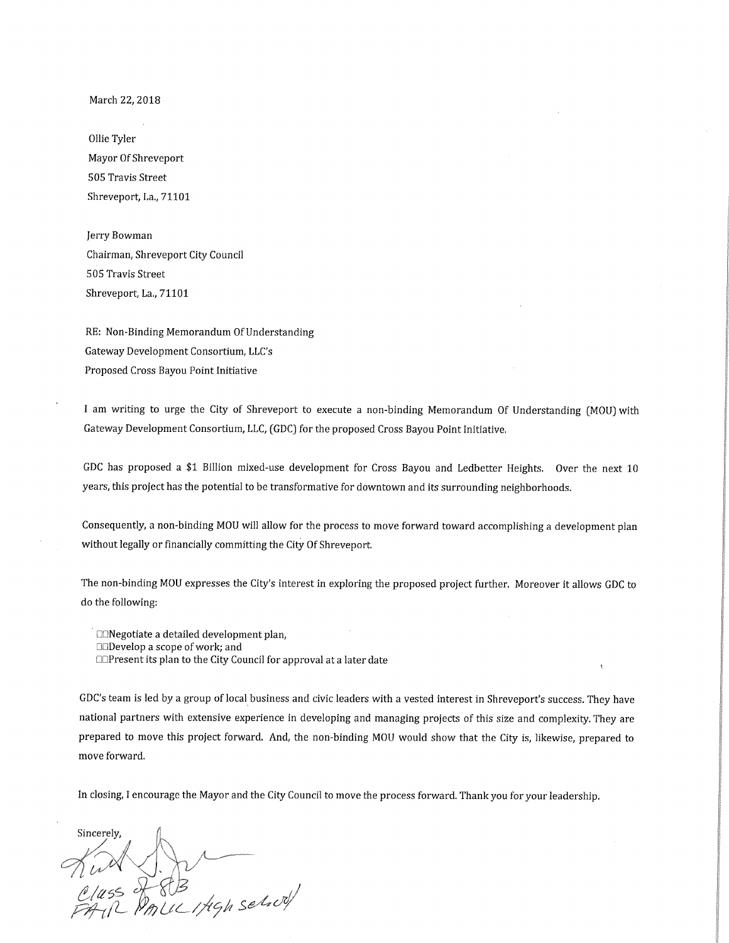March 22, 2018

011ie Tyler Mayor Of Shreveport 505 Travis Street Shreveport, La., 71101

Jerry Bowman Chairman, Shreveport City Council 505 Travis Street Shreveport, La., 71101

RE: Non-Binding Memorandum Of Understanding Gateway Development Consortium, LLC's Proposed Cross Bayou Point Initiative

I am writing to urge the City of Shreveport to execute anon-binding Memorandum Of Understanding (MOU) with Gateway Development Consortium, LLC, (GDC) for the proposed Cross Bayou Point Initiative.

GDC has proposed a \$1 Billion mixed-use development for Cross Bayou and Ledbetter Heights. Over the next 10 years, this project has the potential to be transformative for downtown and its surrounding neighborhoods.

Consequently, anon-binding MOU will allow for the process to move forward toward accomplishing a development plan without legally or financially committing the City Of Shreveport.

The non-binding MOU expresses the City's interest in exploring the proposed project further. Moreover it allows GDC to do the following:

❑❑Negotiate a detailed development plan,

❑❑Develop a scope of work; and

❑❑Present its plan to the City Council for approval at a later date

GDC's team is led by a group of local business and civic leaders with a vested interest in Shreveport's success. They have national partners with extensive experience in developing and managing projects of this size and complexity, They are prepared to move this project forward. And, the non-binding MOU would show that the City is, likewise, prepared to move forward.

In closing, I encourage the Mayor and the City Council to move the process forward. Thank you for your leadership.

Sincerely,  $\not\exists u \forall \forall .$  $\frac{\partial}{\partial A}$  in  $\frac{\partial}{\partial B}$  . The selection